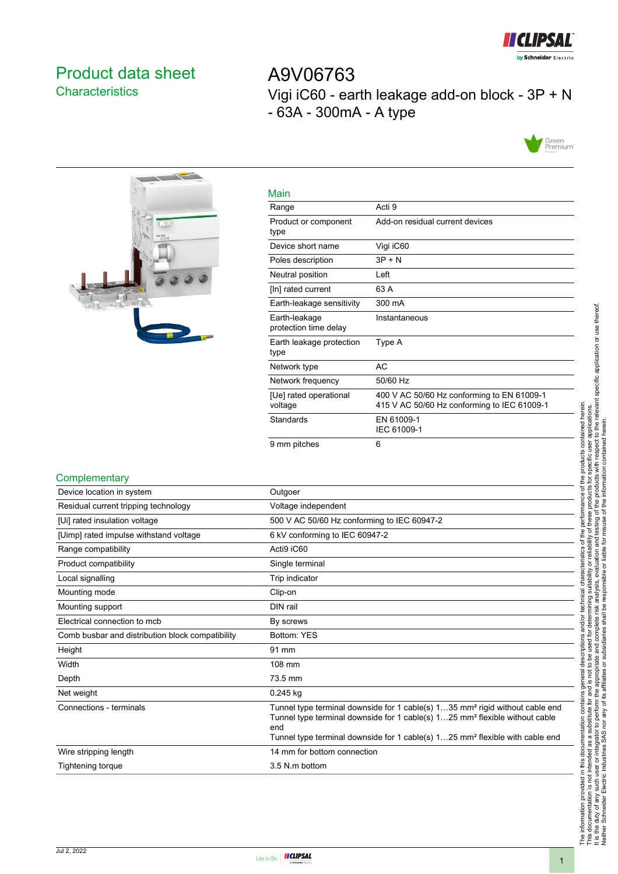

# <span id="page-0-0"></span>Product data sheet **Characteristics**

A9V06763 Vigi iC60 - earth leakage add-on block - 3P + N - 63A - 300mA - A type





| Main                                   |                                                                                           |
|----------------------------------------|-------------------------------------------------------------------------------------------|
| Range                                  | Acti 9                                                                                    |
| Product or component<br>type           | Add-on residual current devices                                                           |
| Device short name                      | Vigi iC60                                                                                 |
| Poles description                      | $3P + N$                                                                                  |
| Neutral position                       | Left                                                                                      |
| [In] rated current                     | 63 A                                                                                      |
| Earth-leakage sensitivity              | 300 mA                                                                                    |
| Earth-leakage<br>protection time delay | Instantaneous                                                                             |
| Earth leakage protection<br>type       | Type A                                                                                    |
| Network type                           | AC                                                                                        |
| Network frequency                      | 50/60 Hz                                                                                  |
| [Ue] rated operational<br>voltage      | 400 V AC 50/60 Hz conforming to EN 61009-1<br>415 V AC 50/60 Hz conforming to IEC 61009-1 |
| Standards                              | EN 61009-1<br>IEC 61009-1                                                                 |
| 9 mm pitches                           | 6                                                                                         |

#### **Complementary**

| Outgoer                                                                                                                                                                                                                                                                                |
|----------------------------------------------------------------------------------------------------------------------------------------------------------------------------------------------------------------------------------------------------------------------------------------|
| Voltage independent                                                                                                                                                                                                                                                                    |
| 500 V AC 50/60 Hz conforming to IEC 60947-2                                                                                                                                                                                                                                            |
| 6 kV conforming to IEC 60947-2                                                                                                                                                                                                                                                         |
| Acti9 iC60                                                                                                                                                                                                                                                                             |
| Single terminal                                                                                                                                                                                                                                                                        |
| Trip indicator                                                                                                                                                                                                                                                                         |
| Clip-on                                                                                                                                                                                                                                                                                |
| DIN rail                                                                                                                                                                                                                                                                               |
| By screws                                                                                                                                                                                                                                                                              |
| Bottom: YES                                                                                                                                                                                                                                                                            |
| 91 mm                                                                                                                                                                                                                                                                                  |
| 108 mm                                                                                                                                                                                                                                                                                 |
| 73.5 mm                                                                                                                                                                                                                                                                                |
| 0.245 kg                                                                                                                                                                                                                                                                               |
| Tunnel type terminal downside for 1 cable(s) 135 mm <sup>2</sup> rigid without cable end<br>Tunnel type terminal downside for 1 cable(s) 125 mm <sup>2</sup> flexible without cable<br>end<br>Tunnel type terminal downside for 1 cable(s) 125 mm <sup>2</sup> flexible with cable end |
| 14 mm for bottom connection                                                                                                                                                                                                                                                            |
| 3.5 N.m bottom                                                                                                                                                                                                                                                                         |
|                                                                                                                                                                                                                                                                                        |